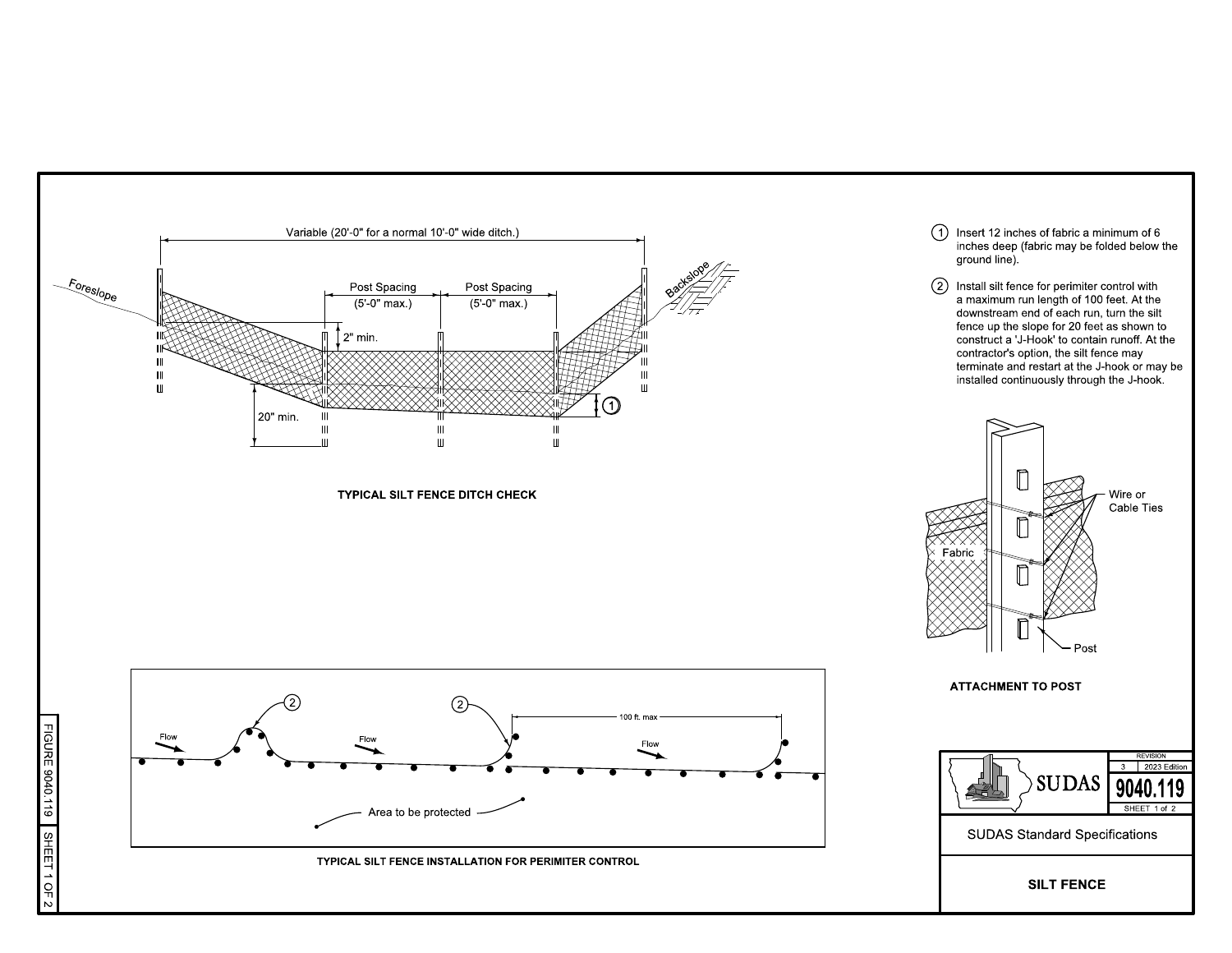